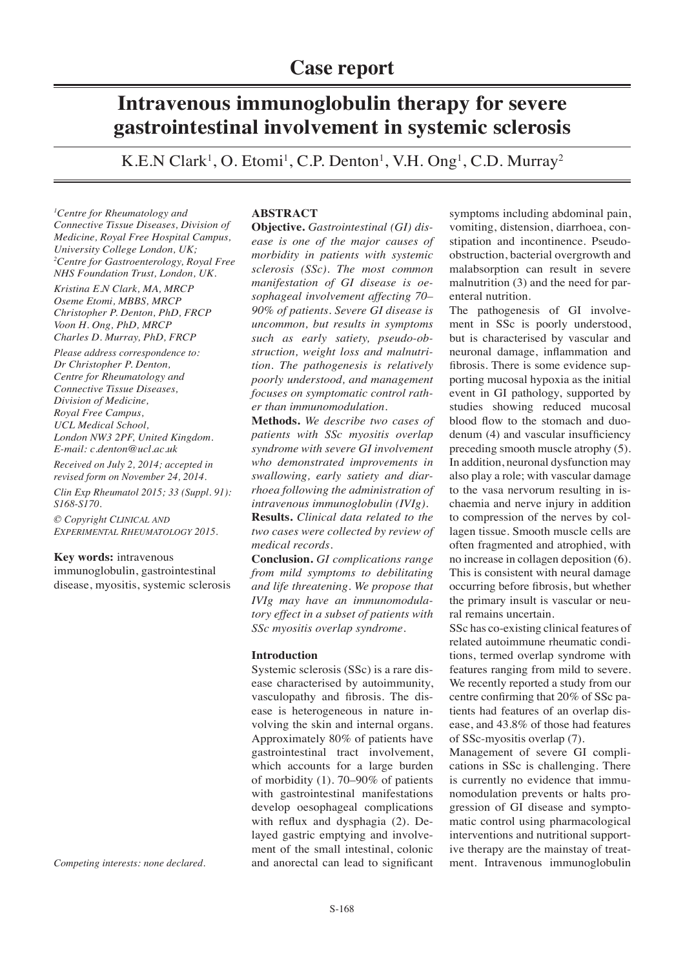# **Intravenous immunoglobulin therapy for severe gastrointestinal involvement in systemic sclerosis**

K.E.N Clark<sup>1</sup>, O. Etomi<sup>1</sup>, C.P. Denton<sup>1</sup>, V.H. Ong<sup>1</sup>, C.D. Murray<sup>2</sup>

*1 Centre for Rheumatology and Connective Tissue Diseases, Division of Medicine, Royal Free Hospital Campus, University College London, UK; 2 Centre for Gastroenterology, Royal Free NHS Foundation Trust, London, UK.*

*Kristina E.N Clark, MA, MRCP Oseme Etomi, MBBS, MRCP Christopher P. Denton, PhD, FRCP Voon H. Ong, PhD, MRCP Charles D. Murray, PhD, FRCP*

*Please address correspondence to: Dr Christopher P. Denton, Centre for Rheumatology and Connective Tissue Diseases, Division of Medicine, Royal Free Campus, UCL Medical School, London NW3 2PF, United Kingdom. E-mail: c.denton@ucl.ac.uk*

*Received on July 2, 2014; accepted in revised form on November 24, 2014.*

*Clin Exp Rheumatol 2015; 33 (Suppl. 91): S168-S170.*

*© Copyright Clinical and Experimental Rheumatology 2015.*

# **Key words:** intravenous

immunoglobulin, gastrointestinal disease, myositis, systemic sclerosis

*Competing interests: none declared.*

# **ABSTRACT**

**Objective.** *Gastrointestinal (GI) disease is one of the major causes of morbidity in patients with systemic sclerosis (SSc). The most common manifestation of GI disease is oesophageal involvement affecting 70– 90% of patients. Severe GI disease is uncommon, but results in symptoms such as early satiety, pseudo-obstruction, weight loss and malnutrition. The pathogenesis is relatively poorly understood, and management focuses on symptomatic control rather than immunomodulation.*

**Methods.** *We describe two cases of patients with SSc myositis overlap syndrome with severe GI involvement who demonstrated improvements in swallowing, early satiety and diarrhoea following the administration of intravenous immunoglobulin (IVIg).* **Results.** *Clinical data related to the two cases were collected by review of medical records.*

**Conclusion.** *GI complications range from mild symptoms to debilitating and life threatening. We propose that IVIg may have an immunomodulatory effect in a subset of patients with SSc myositis overlap syndrome.*

# **Introduction**

Systemic sclerosis (SSc) is a rare disease characterised by autoimmunity, vasculopathy and fibrosis. The disease is heterogeneous in nature involving the skin and internal organs. Approximately 80% of patients have gastrointestinal tract involvement, which accounts for a large burden of morbidity (1). 70–90% of patients with gastrointestinal manifestations develop oesophageal complications with reflux and dysphagia (2). Delayed gastric emptying and involvement of the small intestinal, colonic and anorectal can lead to significant

symptoms including abdominal pain, vomiting, distension, diarrhoea, constipation and incontinence. Pseudoobstruction, bacterial overgrowth and malabsorption can result in severe malnutrition (3) and the need for parenteral nutrition.

The pathogenesis of GI involvement in SSc is poorly understood, but is characterised by vascular and neuronal damage, inflammation and fibrosis. There is some evidence supporting mucosal hypoxia as the initial event in GI pathology, supported by studies showing reduced mucosal blood flow to the stomach and duodenum (4) and vascular insufficiency preceding smooth muscle atrophy (5). In addition, neuronal dysfunction may also play a role; with vascular damage to the vasa nervorum resulting in ischaemia and nerve injury in addition to compression of the nerves by collagen tissue. Smooth muscle cells are often fragmented and atrophied, with no increase in collagen deposition (6). This is consistent with neural damage occurring before fibrosis, but whether the primary insult is vascular or neural remains uncertain.

SSc has co-existing clinical features of related autoimmune rheumatic conditions, termed overlap syndrome with features ranging from mild to severe. We recently reported a study from our centre confirming that 20% of SSc patients had features of an overlap disease, and 43.8% of those had features of SSc-myositis overlap (7).

Management of severe GI complications in SSc is challenging. There is currently no evidence that immunomodulation prevents or halts progression of GI disease and symptomatic control using pharmacological interventions and nutritional supportive therapy are the mainstay of treatment. Intravenous immunoglobulin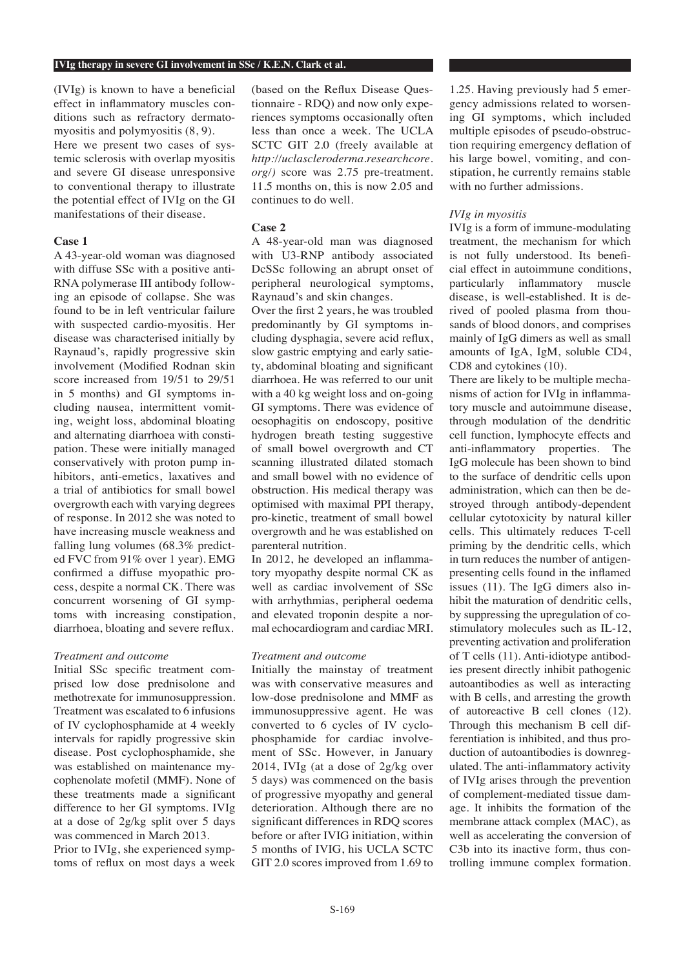(IVIg) is known to have a beneficial effect in inflammatory muscles conditions such as refractory dermatomyositis and polymyositis (8, 9). Here we present two cases of systemic sclerosis with overlap myositis and severe GI disease unresponsive to conventional therapy to illustrate the potential effect of IVIg on the GI manifestations of their disease.

### **Case 1**

A 43-year-old woman was diagnosed with diffuse SSc with a positive anti-RNA polymerase III antibody following an episode of collapse. She was found to be in left ventricular failure with suspected cardio-myositis. Her disease was characterised initially by Raynaud's, rapidly progressive skin involvement (Modified Rodnan skin score increased from 19/51 to 29/51 in 5 months) and GI symptoms including nausea, intermittent vomiting, weight loss, abdominal bloating and alternating diarrhoea with constipation. These were initially managed conservatively with proton pump inhibitors, anti-emetics, laxatives and a trial of antibiotics for small bowel overgrowth each with varying degrees of response. In 2012 she was noted to have increasing muscle weakness and falling lung volumes (68.3% predicted FVC from 91% over 1 year). EMG confirmed a diffuse myopathic process, despite a normal CK. There was concurrent worsening of GI symptoms with increasing constipation, diarrhoea, bloating and severe reflux.

#### *Treatment and outcome*

Initial SSc specific treatment comprised low dose prednisolone and methotrexate for immunosuppression. Treatment was escalated to 6 infusions of IV cyclophosphamide at 4 weekly intervals for rapidly progressive skin disease. Post cyclophosphamide, she was established on maintenance mycophenolate mofetil (MMF). None of these treatments made a significant difference to her GI symptoms. IVIg at a dose of 2g/kg split over 5 days was commenced in March 2013.

Prior to IVIg, she experienced symptoms of reflux on most days a week (based on the Reflux Disease Questionnaire - RDQ) and now only experiences symptoms occasionally often less than once a week. The UCLA SCTC GIT 2.0 (freely available at *http://uclascleroderma.researchcore. org/)* score was 2.75 pre-treatment. 11.5 months on, this is now 2.05 and continues to do well.

# **Case 2**

A 48-year-old man was diagnosed with U3-RNP antibody associated DcSSc following an abrupt onset of peripheral neurological symptoms, Raynaud's and skin changes.

Over the first 2 years, he was troubled predominantly by GI symptoms including dysphagia, severe acid reflux, slow gastric emptying and early satiety, abdominal bloating and significant diarrhoea. He was referred to our unit with a 40 kg weight loss and on-going GI symptoms. There was evidence of oesophagitis on endoscopy, positive hydrogen breath testing suggestive of small bowel overgrowth and CT scanning illustrated dilated stomach and small bowel with no evidence of obstruction. His medical therapy was optimised with maximal PPI therapy, pro-kinetic, treatment of small bowel overgrowth and he was established on parenteral nutrition.

In 2012, he developed an inflammatory myopathy despite normal CK as well as cardiac involvement of SSc with arrhythmias, peripheral oedema and elevated troponin despite a normal echocardiogram and cardiac MRI.

#### *Treatment and outcome*

Initially the mainstay of treatment was with conservative measures and low-dose prednisolone and MMF as immunosuppressive agent. He was converted to 6 cycles of IV cyclophosphamide for cardiac involvement of SSc. However, in January 2014, IVIg (at a dose of 2g/kg over 5 days) was commenced on the basis of progressive myopathy and general deterioration. Although there are no significant differences in RDQ scores before or after IVIG initiation, within 5 months of IVIG, his UCLA SCTC GIT 2.0 scores improved from 1.69 to 1.25. Having previously had 5 emergency admissions related to worsening GI symptoms, which included multiple episodes of pseudo-obstruction requiring emergency deflation of his large bowel, vomiting, and constipation, he currently remains stable with no further admissions.

## *IVIg in myositis*

IVIg is a form of immune-modulating treatment, the mechanism for which is not fully understood. Its beneficial effect in autoimmune conditions, particularly inflammatory muscle disease, is well-established. It is derived of pooled plasma from thousands of blood donors, and comprises mainly of IgG dimers as well as small amounts of IgA, IgM, soluble CD4, CD8 and cytokines (10).

There are likely to be multiple mechanisms of action for IVIg in inflammatory muscle and autoimmune disease, through modulation of the dendritic cell function, lymphocyte effects and anti-inflammatory properties. The IgG molecule has been shown to bind to the surface of dendritic cells upon administration, which can then be destroyed through antibody-dependent cellular cytotoxicity by natural killer cells. This ultimately reduces T-cell priming by the dendritic cells, which in turn reduces the number of antigenpresenting cells found in the inflamed issues (11). The IgG dimers also inhibit the maturation of dendritic cells, by suppressing the upregulation of costimulatory molecules such as IL-12, preventing activation and proliferation of T cells (11). Anti-idiotype antibodies present directly inhibit pathogenic autoantibodies as well as interacting with B cells, and arresting the growth of autoreactive B cell clones (12). Through this mechanism B cell differentiation is inhibited, and thus production of autoantibodies is downregulated. The anti-inflammatory activity of IVIg arises through the prevention of complement-mediated tissue damage. It inhibits the formation of the membrane attack complex (MAC), as well as accelerating the conversion of C3b into its inactive form, thus controlling immune complex formation.